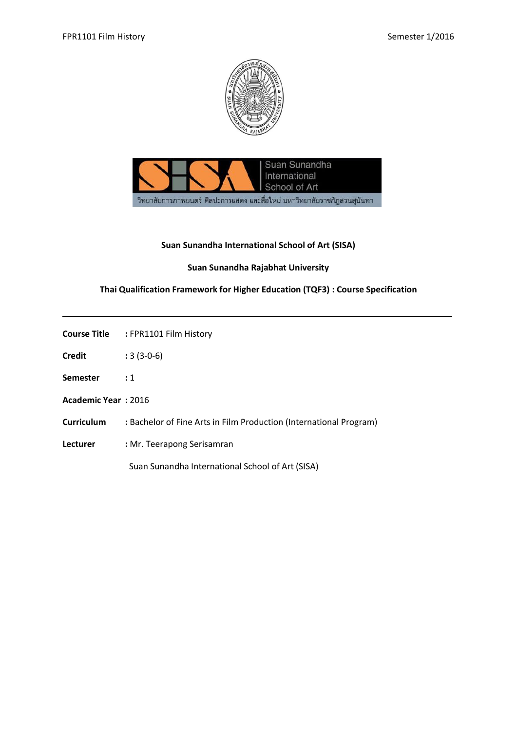



### **Suan Sunandha International School of Art (SISA)**

# **Suan Sunandha Rajabhat University**

## **Thai Qualification Framework for Higher Education (TQF3) : Course Specification**

|                            | <b>Course Title : FPR1101 Film History</b>                         |
|----------------------------|--------------------------------------------------------------------|
| <b>Credit</b>              | $:3(3-0-6)$                                                        |
| <b>Semester</b>            | $\cdot$ 1                                                          |
| <b>Academic Year: 2016</b> |                                                                    |
| Curriculum                 | : Bachelor of Fine Arts in Film Production (International Program) |
| <b>Lecturer</b>            | : Mr. Teerapong Serisamran                                         |
|                            | Suan Sunandha International School of Art (SISA)                   |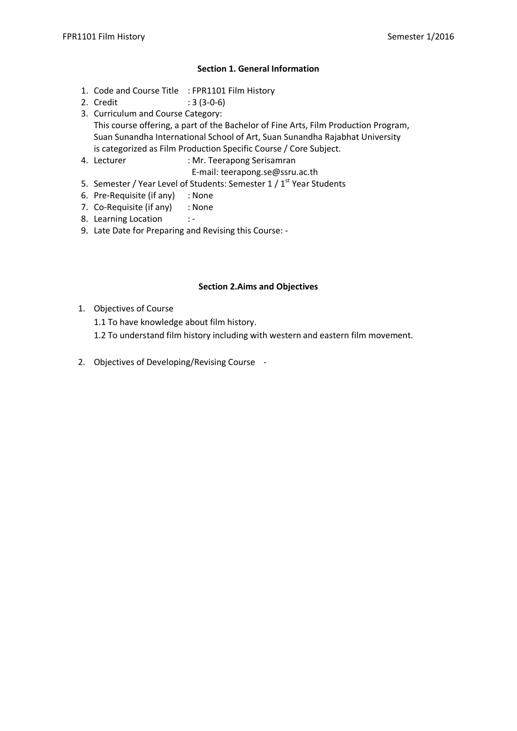## **Section 1. General Information**

- 1. Code and Course Title : FPR1101 Film History
- 2. Credit : 3 (3-0-6)
- 3. Curriculum and Course Category: This course offering, a part of the Bachelor of Fine Arts, Film Production Program, Suan Sunandha International School of Art, Suan Sunandha Rajabhat University is categorized as Film Production Specific Course / Core Subject.
- 4. Lecturer : Mr. Teerapong Serisamran
	- E-mail: teerapong.se@ssru.ac.th
- 5. Semester / Year Level of Students: Semester 1 / 1<sup>st</sup> Year Students
- 6. Pre-Requisite (if any) : None
- 7. Co-Requisite (if any) : None
- 8. Learning Location : -
- 9. Late Date for Preparing and Revising this Course: -

### **Section 2.Aims and Objectives**

- 1. Objectives of Course
	- 1.1 To have knowledge about film history.
	- 1.2 To understand film history including with western and eastern film movement.
- 2. Objectives of Developing/Revising Course -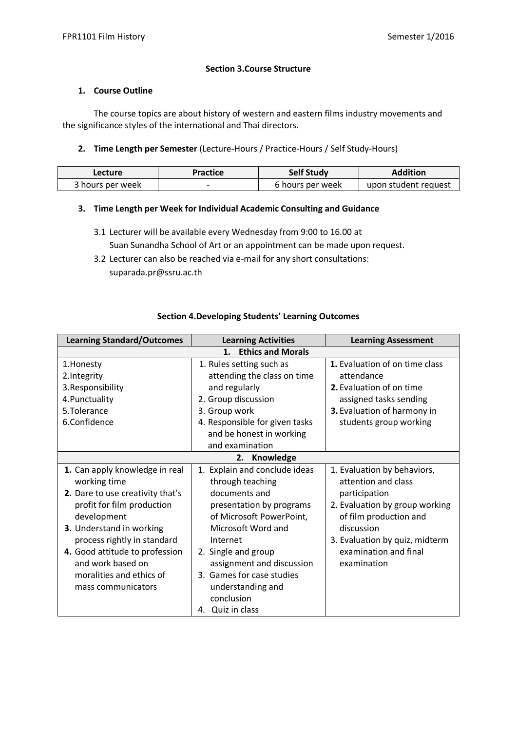### **Section 3.Course Structure**

#### **1. Course Outline**

The course topics are about history of western and eastern films industry movements and the significance styles of the international and Thai directors.

### **2. Time Length per Semester** (Lecture-Hours / Practice-Hours / Self Study-Hours)

| Lecture          | Practice | <b>Self Study</b> | <b>Addition</b>      |
|------------------|----------|-------------------|----------------------|
| 3 hours per week | -        | 6 hours per week  | upon student request |

### **3. Time Length per Week for Individual Academic Consulting and Guidance**

- 3.1 Lecturer will be available every Wednesday from 9:00 to 16.00 at Suan Sunandha School of Art or an appointment can be made upon request.
- 3.2 Lecturer can also be reached via e-mail for any short consultations: suparada.pr@ssru.ac.th

| <b>Learning Standard/Outcomes</b> | <b>Learning Activities</b>     | <b>Learning Assessment</b>     |  |  |
|-----------------------------------|--------------------------------|--------------------------------|--|--|
| <b>Ethics and Morals</b><br>1.    |                                |                                |  |  |
| 1. Honesty                        | 1. Rules setting such as       | 1. Evaluation of on time class |  |  |
| 2.Integrity                       | attending the class on time    | attendance                     |  |  |
| 3. Responsibility                 | and regularly                  | 2. Evaluation of on time       |  |  |
| 4. Punctuality                    | 2. Group discussion            | assigned tasks sending         |  |  |
| 5.Tolerance                       | 3. Group work                  | 3. Evaluation of harmony in    |  |  |
| 6.Confidence                      | 4. Responsible for given tasks | students group working         |  |  |
|                                   | and be honest in working       |                                |  |  |
|                                   | and examination                |                                |  |  |
|                                   | Knowledge<br>2.                |                                |  |  |
| 1. Can apply knowledge in real    | 1. Explain and conclude ideas  | 1. Evaluation by behaviors,    |  |  |
| working time                      | through teaching               | attention and class            |  |  |
| 2. Dare to use creativity that's  | documents and                  | participation                  |  |  |
| profit for film production        | presentation by programs       | 2. Evaluation by group working |  |  |
| development                       | of Microsoft PowerPoint,       | of film production and         |  |  |
| 3. Understand in working          | Microsoft Word and             | discussion                     |  |  |
| process rightly in standard       | Internet                       | 3. Evaluation by quiz, midterm |  |  |
| 4. Good attitude to profession    | 2. Single and group            | examination and final          |  |  |
| and work based on                 | assignment and discussion      | examination                    |  |  |
| moralities and ethics of          | 3. Games for case studies      |                                |  |  |
| mass communicators                | understanding and              |                                |  |  |
|                                   | conclusion                     |                                |  |  |
|                                   | Quiz in class<br>4.            |                                |  |  |

### **Section 4.Developing Students' Learning Outcomes**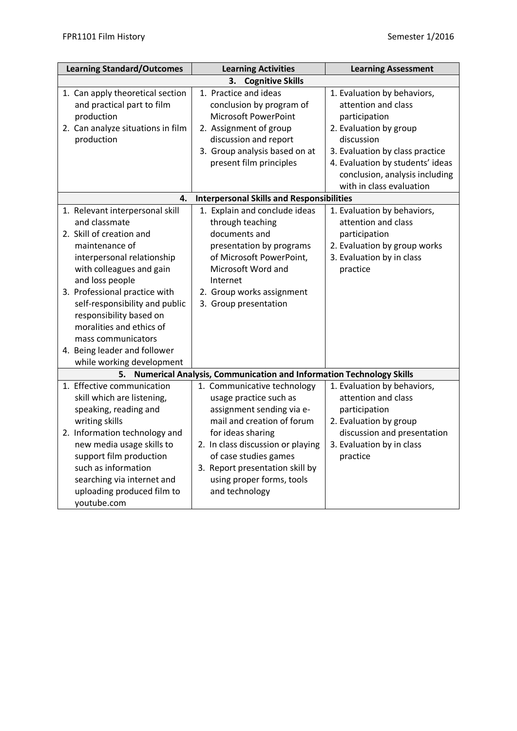| <b>Learning Standard/Outcomes</b>                                                                                                                                                                                                                                                                                                                                                              | <b>Learning Activities</b>                                                                                                                                                                                                                                             | <b>Learning Assessment</b>                                                                                                                                                                                           |
|------------------------------------------------------------------------------------------------------------------------------------------------------------------------------------------------------------------------------------------------------------------------------------------------------------------------------------------------------------------------------------------------|------------------------------------------------------------------------------------------------------------------------------------------------------------------------------------------------------------------------------------------------------------------------|----------------------------------------------------------------------------------------------------------------------------------------------------------------------------------------------------------------------|
|                                                                                                                                                                                                                                                                                                                                                                                                | <b>Cognitive Skills</b><br>3.                                                                                                                                                                                                                                          |                                                                                                                                                                                                                      |
| 1. Can apply theoretical section<br>and practical part to film<br>production<br>2. Can analyze situations in film<br>production                                                                                                                                                                                                                                                                | 1. Practice and ideas<br>conclusion by program of<br><b>Microsoft PowerPoint</b><br>2. Assignment of group<br>discussion and report<br>3. Group analysis based on at<br>present film principles                                                                        | 1. Evaluation by behaviors,<br>attention and class<br>participation<br>2. Evaluation by group<br>discussion<br>3. Evaluation by class practice<br>4. Evaluation by students' ideas<br>conclusion, analysis including |
|                                                                                                                                                                                                                                                                                                                                                                                                |                                                                                                                                                                                                                                                                        | with in class evaluation                                                                                                                                                                                             |
| 4.<br>1. Relevant interpersonal skill<br>and classmate<br>2. Skill of creation and<br>maintenance of<br>interpersonal relationship<br>with colleagues and gain<br>and loss people<br>3. Professional practice with<br>self-responsibility and public<br>responsibility based on<br>moralities and ethics of<br>mass communicators<br>4. Being leader and follower<br>while working development | <b>Interpersonal Skills and Responsibilities</b><br>1. Explain and conclude ideas<br>through teaching<br>documents and<br>presentation by programs<br>of Microsoft PowerPoint,<br>Microsoft Word and<br>Internet<br>2. Group works assignment<br>3. Group presentation | 1. Evaluation by behaviors,<br>attention and class<br>participation<br>2. Evaluation by group works<br>3. Evaluation by in class<br>practice                                                                         |
| 5.                                                                                                                                                                                                                                                                                                                                                                                             | Numerical Analysis, Communication and Information Technology Skills                                                                                                                                                                                                    |                                                                                                                                                                                                                      |
| 1. Effective communication<br>skill which are listening,<br>speaking, reading and<br>writing skills                                                                                                                                                                                                                                                                                            | 1. Communicative technology<br>usage practice such as<br>assignment sending via e-<br>mail and creation of forum                                                                                                                                                       | 1. Evaluation by behaviors,<br>attention and class<br>participation<br>2. Evaluation by group                                                                                                                        |
| 2. Information technology and<br>new media usage skills to<br>support film production<br>such as information<br>searching via internet and<br>uploading produced film to<br>youtube.com                                                                                                                                                                                                        | for ideas sharing<br>2. In class discussion or playing<br>of case studies games<br>3. Report presentation skill by<br>using proper forms, tools<br>and technology                                                                                                      | discussion and presentation<br>3. Evaluation by in class<br>practice                                                                                                                                                 |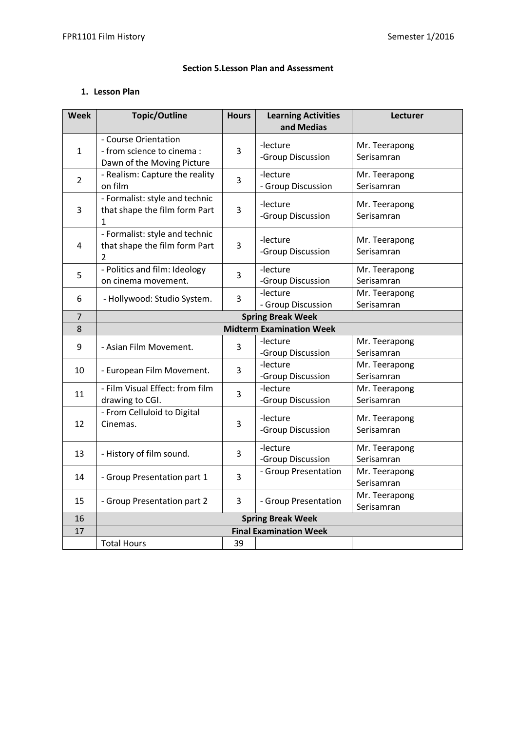### **Section 5.Lesson Plan and Assessment**

## **1. Lesson Plan**

| <b>Week</b>    | <b>Topic/Outline</b>                       | <b>Hours</b>      | <b>Learning Activities</b>      | Lecturer      |
|----------------|--------------------------------------------|-------------------|---------------------------------|---------------|
|                |                                            |                   | and Medias                      |               |
|                | - Course Orientation                       |                   | -lecture                        | Mr. Teerapong |
| 1              | - from science to cinema :                 | 3                 | -Group Discussion               | Serisamran    |
|                | Dawn of the Moving Picture                 |                   |                                 |               |
| $\overline{2}$ | - Realism: Capture the reality             | 3                 | -lecture                        | Mr. Teerapong |
|                | on film                                    |                   | - Group Discussion              | Serisamran    |
|                | - Formalist: style and technic             |                   | -lecture                        | Mr. Teerapong |
| 3              | that shape the film form Part<br>1         | 3                 | -Group Discussion               | Serisamran    |
|                | - Formalist: style and technic             |                   |                                 |               |
| 4              | that shape the film form Part              | 3                 | -lecture                        | Mr. Teerapong |
|                | 2                                          |                   | -Group Discussion               | Serisamran    |
|                | - Politics and film: Ideology              |                   | -lecture                        | Mr. Teerapong |
| 5              | on cinema movement.                        | $\overline{3}$    | -Group Discussion               | Serisamran    |
|                |                                            | 3                 | -lecture                        | Mr. Teerapong |
| 6              | - Hollywood: Studio System.                |                   | - Group Discussion              | Serisamran    |
| $\overline{7}$ |                                            |                   | <b>Spring Break Week</b>        |               |
| 8              |                                            |                   | <b>Midterm Examination Week</b> |               |
| 9              | - Asian Film Movement.                     | 3                 | -lecture                        | Mr. Teerapong |
|                |                                            | -Group Discussion |                                 | Serisamran    |
| 10             | -lecture<br>3<br>- European Film Movement. |                   | Mr. Teerapong                   |               |
|                |                                            |                   | -Group Discussion               | Serisamran    |
| 11             | - Film Visual Effect: from film            | 3                 | -lecture                        | Mr. Teerapong |
|                | drawing to CGI.                            |                   | -Group Discussion               | Serisamran    |
|                | - From Celluloid to Digital                |                   | -lecture                        | Mr. Teerapong |
| 12             | Cinemas.                                   | 3                 | -Group Discussion               | Serisamran    |
|                |                                            |                   |                                 |               |
| 13             | - History of film sound.                   | 3                 | -lecture                        | Mr. Teerapong |
|                |                                            |                   | -Group Discussion               | Serisamran    |
| 14             | - Group Presentation part 1                | $\overline{3}$    | - Group Presentation            | Mr. Teerapong |
|                |                                            |                   |                                 | Serisamran    |
| 15             | - Group Presentation part 2                | 3                 | - Group Presentation            | Mr. Teerapong |
|                |                                            |                   |                                 | Serisamran    |
| 16             | <b>Spring Break Week</b>                   |                   |                                 |               |
| 17             | <b>Final Examination Week</b>              |                   |                                 |               |
|                | <b>Total Hours</b>                         | 39                |                                 |               |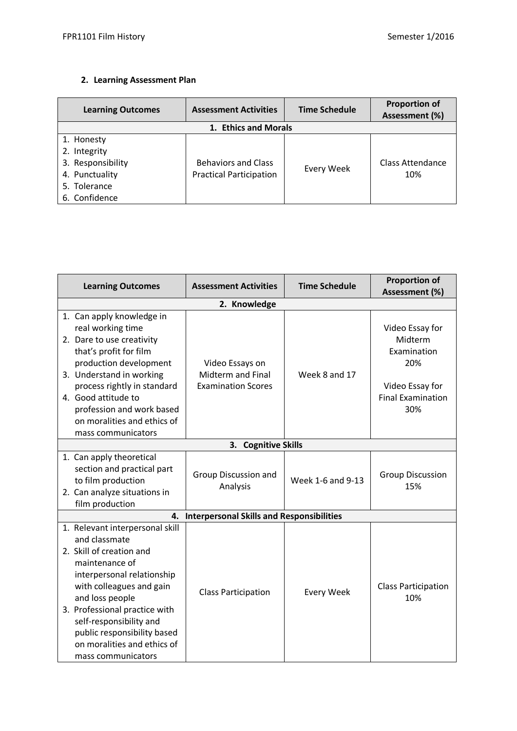# **2. Learning Assessment Plan**

| <b>Learning Outcomes</b> | <b>Assessment Activities</b>   | <b>Time Schedule</b> | <b>Proportion of</b><br>Assessment (%) |  |  |  |
|--------------------------|--------------------------------|----------------------|----------------------------------------|--|--|--|
|                          | 1. Ethics and Morals           |                      |                                        |  |  |  |
| 1. Honesty               |                                |                      |                                        |  |  |  |
| 2. Integrity             |                                |                      |                                        |  |  |  |
| 3. Responsibility        | <b>Behaviors and Class</b>     | Every Week           | <b>Class Attendance</b>                |  |  |  |
| 4. Punctuality           | <b>Practical Participation</b> |                      | 10%                                    |  |  |  |
| 5. Tolerance             |                                |                      |                                        |  |  |  |
| 6. Confidence            |                                |                      |                                        |  |  |  |

| <b>Learning Outcomes</b>                                                                                                                                                                                                                                                                                                    | <b>Assessment Activities</b>                                      | <b>Time Schedule</b> | <b>Proportion of</b><br>Assessment (%)                                                                 |  |
|-----------------------------------------------------------------------------------------------------------------------------------------------------------------------------------------------------------------------------------------------------------------------------------------------------------------------------|-------------------------------------------------------------------|----------------------|--------------------------------------------------------------------------------------------------------|--|
| 2. Knowledge                                                                                                                                                                                                                                                                                                                |                                                                   |                      |                                                                                                        |  |
| 1. Can apply knowledge in<br>real working time<br>2. Dare to use creativity<br>that's profit for film<br>production development<br>3. Understand in working<br>process rightly in standard<br>4. Good attitude to<br>profession and work based<br>on moralities and ethics of<br>mass communicators                         | Video Essays on<br>Midterm and Final<br><b>Examination Scores</b> | Week 8 and 17        | Video Essay for<br>Midterm<br>Examination<br>20%<br>Video Essay for<br><b>Final Examination</b><br>30% |  |
|                                                                                                                                                                                                                                                                                                                             | 3. Cognitive Skills                                               |                      |                                                                                                        |  |
| 1. Can apply theoretical<br>section and practical part<br>to film production<br>2. Can analyze situations in<br>film production                                                                                                                                                                                             | Group Discussion and<br>Analysis                                  | Week 1-6 and 9-13    | <b>Group Discussion</b><br>15%                                                                         |  |
| 4.                                                                                                                                                                                                                                                                                                                          | <b>Interpersonal Skills and Responsibilities</b>                  |                      |                                                                                                        |  |
| 1. Relevant interpersonal skill<br>and classmate<br>2. Skill of creation and<br>maintenance of<br>interpersonal relationship<br>with colleagues and gain<br>and loss people<br>3. Professional practice with<br>self-responsibility and<br>public responsibility based<br>on moralities and ethics of<br>mass communicators | <b>Class Participation</b>                                        | <b>Every Week</b>    | <b>Class Participation</b><br>10%                                                                      |  |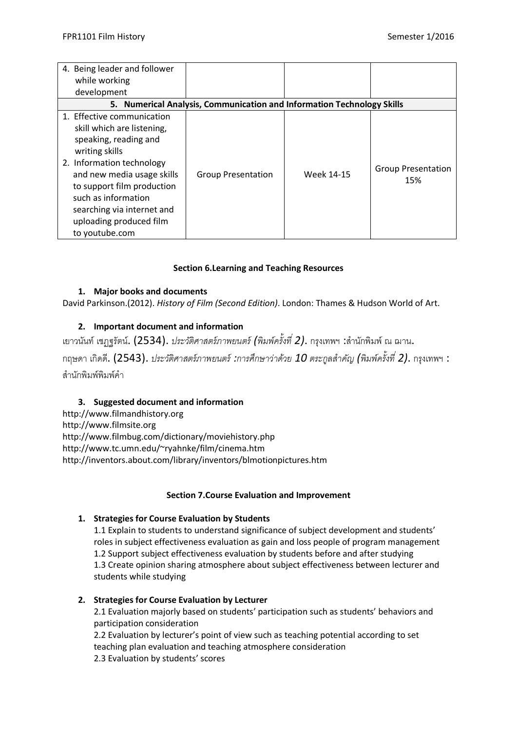| 4. Being leader and follower<br>while working<br>development                                                                                                                                                                                                                                   |                                                                        |            |                                  |
|------------------------------------------------------------------------------------------------------------------------------------------------------------------------------------------------------------------------------------------------------------------------------------------------|------------------------------------------------------------------------|------------|----------------------------------|
|                                                                                                                                                                                                                                                                                                | 5. Numerical Analysis, Communication and Information Technology Skills |            |                                  |
| 1. Effective communication<br>skill which are listening,<br>speaking, reading and<br>writing skills<br>2. Information technology<br>and new media usage skills<br>to support film production<br>such as information<br>searching via internet and<br>uploading produced film<br>to youtube.com | <b>Group Presentation</b>                                              | Week 14-15 | <b>Group Presentation</b><br>15% |

## **Section 6.Learning and Teaching Resources**

## **1. Major books and documents**

David Parkinson.(2012). *History of Film (Second Edition)*. London: Thames & Hudson World of Art.

# **2. Important document and information**

ี เยาวนันท์ เชฦฐรัตน์. (2534). *ประวัติศาสตร์ภาพยนตร์ (พิมพ์ครั้งที่ 2)*. กรุงเทพฯ :สำนักพิมพ์ ณ ฌาน.

กฤษดา เกิดดี. (2543). *ประวัติศาสตร์ภาพยนตร์:การศึกษาว่าด้วย 10 ตระกูลส าคญั (พิมพ์ครั้งที ่ 2)*. กรุงเทพฯ : สำนักพิมพ์พิมพ์คำ

# **3. Suggested document and information**

http://www.filmandhistory.org http://www.filmsite.org http://www.filmbug.com/dictionary/moviehistory.php http://www.tc.umn.edu/~ryahnke/film/cinema.htm http://inventors.about.com/library/inventors/blmotionpictures.htm

### **Section 7.Course Evaluation and Improvement**

# **1. Strategies for Course Evaluation by Students**

1.1 Explain to students to understand significance of subject development and students' roles in subject effectiveness evaluation as gain and loss people of program management 1.2 Support subject effectiveness evaluation by students before and after studying 1.3 Create opinion sharing atmosphere about subject effectiveness between lecturer and students while studying

### **2. Strategies for Course Evaluation by Lecturer**

2.1 Evaluation majorly based on students' participation such as students' behaviors and participation consideration 2.2 Evaluation by lecturer's point of view such as teaching potential according to set teaching plan evaluation and teaching atmosphere consideration 2.3 Evaluation by students' scores